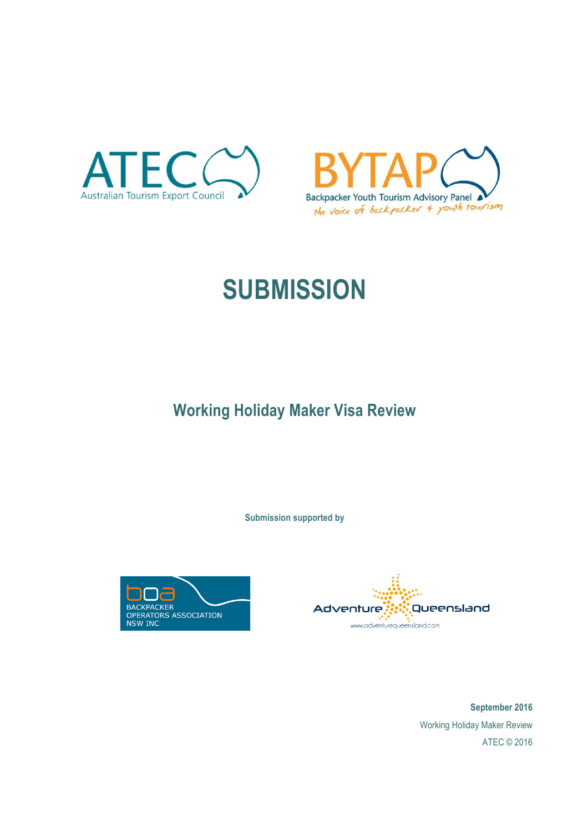



# **SUBMISSION**

**Working Holiday Maker Visa Review**

**Submission supported by**





**September 2016** Working Holiday Maker Review ATEC © 2016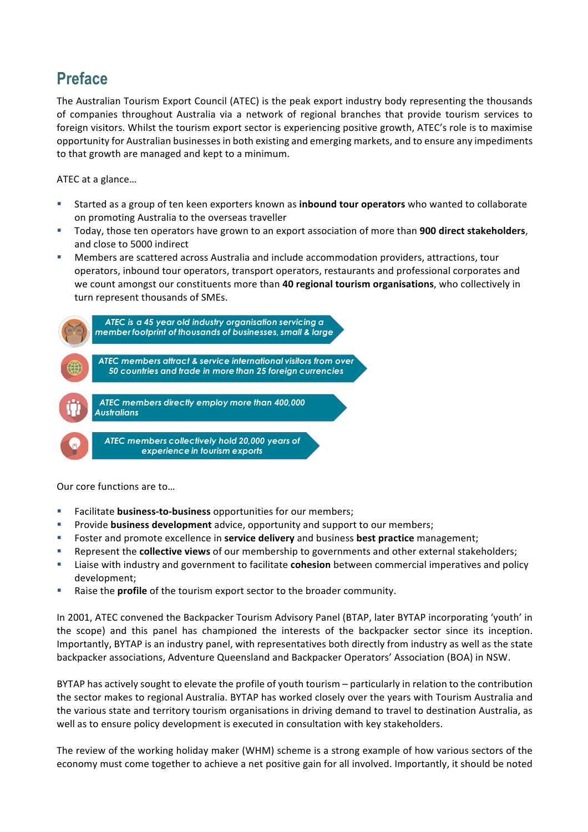## **Preface**

The Australian Tourism Export Council (ATEC) is the peak export industry body representing the thousands of companies throughout Australia via a network of regional branches that provide tourism services to foreign visitors. Whilst the tourism export sector is experiencing positive growth, ATEC's role is to maximise opportunity for Australian businesses in both existing and emerging markets, and to ensure any impediments to that growth are managed and kept to a minimum.

ATEC at a glance...

- Started as a group of ten keen exporters known as **inbound tour operators** who wanted to collaborate on promoting Australia to the overseas traveller
- Today, those ten operators have grown to an export association of more than **900 direct stakeholders**, and close to 5000 indirect
- Members are scattered across Australia and include accommodation providers, attractions, tour operators, inbound tour operators, transport operators, restaurants and professional corporates and we count amongst our constituents more than 40 regional tourism organisations, who collectively in turn represent thousands of SMEs.



Our core functions are to

- **EXECUTE:** Facilitate **business-to-business** opportunities for our members;
- **Provide business development** advice, opportunity and support to our members;
- Foster and promote excellence in **service delivery** and business **best practice** management;
- **EXECT:** Represent the **collective views** of our membership to governments and other external stakeholders;
- **EXECT** Liaise with industry and government to facilitate **cohesion** between commercial imperatives and policy development;
- **EXECT:** Raise the **profile** of the tourism export sector to the broader community.

In 2001, ATEC convened the Backpacker Tourism Advisory Panel (BTAP, later BYTAP incorporating 'youth' in the scope) and this panel has championed the interests of the backpacker sector since its inception. Importantly, BYTAP is an industry panel, with representatives both directly from industry as well as the state backpacker associations, Adventure Queensland and Backpacker Operators' Association (BOA) in NSW.

BYTAP has actively sought to elevate the profile of youth tourism – particularly in relation to the contribution the sector makes to regional Australia. BYTAP has worked closely over the years with Tourism Australia and the various state and territory tourism organisations in driving demand to travel to destination Australia, as well as to ensure policy development is executed in consultation with key stakeholders.

The review of the working holiday maker (WHM) scheme is a strong example of how various sectors of the economy must come together to achieve a net positive gain for all involved. Importantly, it should be noted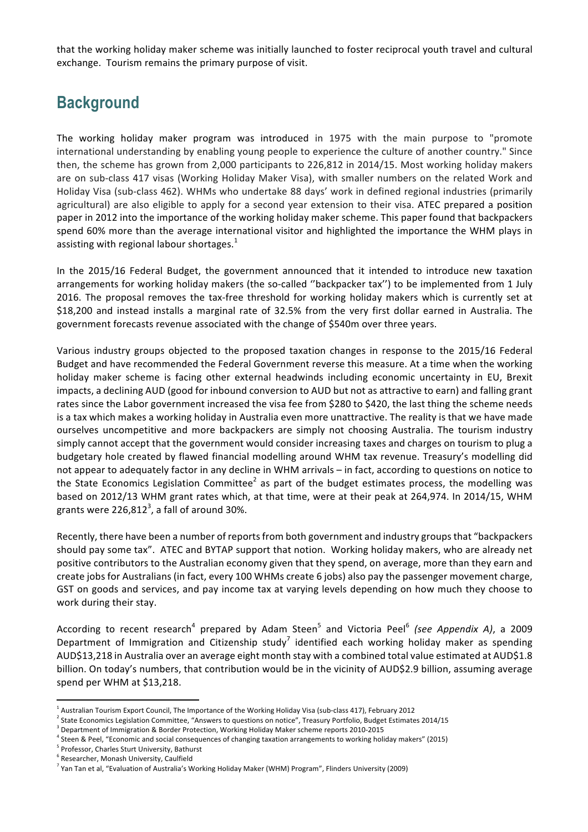that the working holiday maker scheme was initially launched to foster reciprocal youth travel and cultural exchange. Tourism remains the primary purpose of visit.

## **Background**

The working holiday maker program was introduced in 1975 with the main purpose to "promote international understanding by enabling young people to experience the culture of another country." Since then, the scheme has grown from 2,000 participants to  $226,812$  in  $2014/15$ . Most working holiday makers are on sub-class 417 visas (Working Holiday Maker Visa), with smaller numbers on the related Work and Holiday Visa (sub-class 462). WHMs who undertake 88 days' work in defined regional industries (primarily agricultural) are also eligible to apply for a second year extension to their visa. ATEC prepared a position paper in 2012 into the importance of the working holiday maker scheme. This paper found that backpackers spend 60% more than the average international visitor and highlighted the importance the WHM plays in assisting with regional labour shortages.<sup>1</sup>

In the 2015/16 Federal Budget, the government announced that it intended to introduce new taxation arrangements for working holiday makers (the so-called "backpacker tax") to be implemented from 1 July 2016. The proposal removes the tax-free threshold for working holiday makers which is currently set at \$18,200 and instead installs a marginal rate of 32.5% from the very first dollar earned in Australia. The government forecasts revenue associated with the change of \$540m over three years.

Various industry groups objected to the proposed taxation changes in response to the 2015/16 Federal Budget and have recommended the Federal Government reverse this measure. At a time when the working holiday maker scheme is facing other external headwinds including economic uncertainty in EU, Brexit impacts, a declining AUD (good for inbound conversion to AUD but not as attractive to earn) and falling grant rates since the Labor government increased the visa fee from \$280 to \$420, the last thing the scheme needs is a tax which makes a working holiday in Australia even more unattractive. The reality is that we have made ourselves uncompetitive and more backpackers are simply not choosing Australia. The tourism industry simply cannot accept that the government would consider increasing taxes and charges on tourism to plug a budgetary hole created by flawed financial modelling around WHM tax revenue. Treasury's modelling did not appear to adequately factor in any decline in WHM arrivals – in fact, according to questions on notice to the State Economics Legislation Committee<sup>2</sup> as part of the budget estimates process, the modelling was based on 2012/13 WHM grant rates which, at that time, were at their peak at 264,974. In 2014/15, WHM grants were 226,812<sup>3</sup>, a fall of around 30%.

Recently, there have been a number of reports from both government and industry groups that "backpackers should pay some tax". ATEC and BYTAP support that notion. Working holiday makers, who are already net positive contributors to the Australian economy given that they spend, on average, more than they earn and create jobs for Australians (in fact, every 100 WHMs create 6 jobs) also pay the passenger movement charge, GST on goods and services, and pay income tax at varying levels depending on how much they choose to work during their stay.

According to recent research<sup>4</sup> prepared by Adam Steen<sup>5</sup> and Victoria Peel<sup>6</sup> *(see Appendix A)*, a 2009 Department of Immigration and Citizenship study<sup>7</sup> identified each working holiday maker as spending AUD\$13,218 in Australia over an average eight month stay with a combined total value estimated at AUD\$1.8 billion. On today's numbers, that contribution would be in the vicinity of AUD\$2.9 billion, assuming average spend per WHM at \$13,218.

  $^1$  Australian Tourism Export Council, The Importance of the Working Holiday Visa (sub-class 417), February 2012

 $^2$  State Economics Legislation Committee, "Answers to questions on notice", Treasury Portfolio, Budget Estimates 2014/15

Department of Immigration & Border Protection, Working Holiday Maker scheme reports 2010-2015

Steen & Peel, "Economic and social consequences of changing taxation arrangements to working holiday makers" (2015)

Professor, Charles Sturt University, Bathurst

Researcher, Monash University, Caulfield

 $^7$  Yan Tan et al, "Evaluation of Australia's Working Holiday Maker (WHM) Program", Flinders University (2009)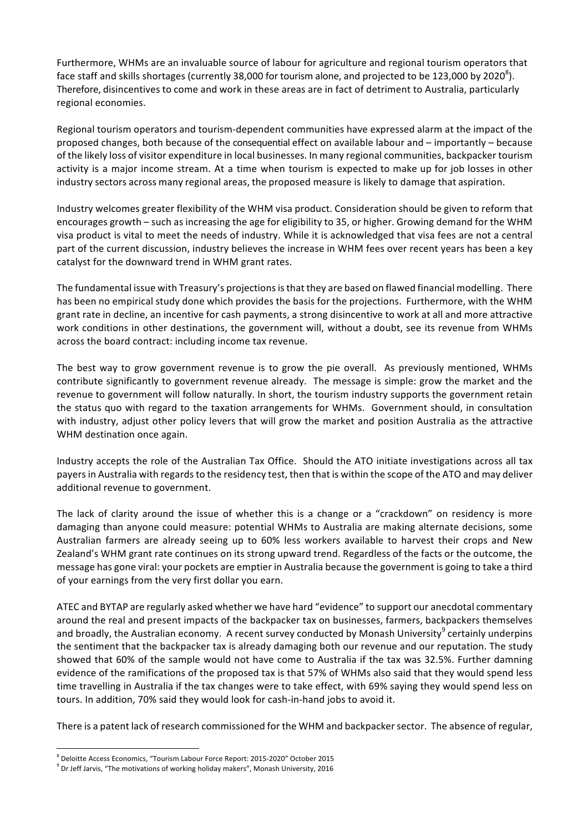Furthermore, WHMs are an invaluable source of labour for agriculture and regional tourism operators that face staff and skills shortages (currently 38,000 for tourism alone, and projected to be 123,000 by 2020 $^8$ ). Therefore, disincentives to come and work in these areas are in fact of detriment to Australia, particularly regional economies.

Regional tourism operators and tourism-dependent communities have expressed alarm at the impact of the proposed changes, both because of the consequential effect on available labour and – importantly – because of the likely loss of visitor expenditure in local businesses. In many regional communities, backpacker tourism activity is a major income stream. At a time when tourism is expected to make up for job losses in other industry sectors across many regional areas, the proposed measure is likely to damage that aspiration.

Industry welcomes greater flexibility of the WHM visa product. Consideration should be given to reform that encourages growth – such as increasing the age for eligibility to 35, or higher. Growing demand for the WHM visa product is vital to meet the needs of industry. While it is acknowledged that visa fees are not a central part of the current discussion, industry believes the increase in WHM fees over recent years has been a key catalyst for the downward trend in WHM grant rates.

The fundamental issue with Treasury's projections is that they are based on flawed financial modelling. There has been no empirical study done which provides the basis for the projections. Furthermore, with the WHM grant rate in decline, an incentive for cash payments, a strong disincentive to work at all and more attractive work conditions in other destinations, the government will, without a doubt, see its revenue from WHMs across the board contract: including income tax revenue.

The best way to grow government revenue is to grow the pie overall. As previously mentioned, WHMs contribute significantly to government revenue already. The message is simple: grow the market and the revenue to government will follow naturally. In short, the tourism industry supports the government retain the status quo with regard to the taxation arrangements for WHMs. Government should, in consultation with industry, adjust other policy levers that will grow the market and position Australia as the attractive WHM destination once again.

Industry accepts the role of the Australian Tax Office. Should the ATO initiate investigations across all tax payers in Australia with regards to the residency test, then that is within the scope of the ATO and may deliver additional revenue to government.

The lack of clarity around the issue of whether this is a change or a "crackdown" on residency is more damaging than anyone could measure: potential WHMs to Australia are making alternate decisions, some Australian farmers are already seeing up to 60% less workers available to harvest their crops and New Zealand's WHM grant rate continues on its strong upward trend. Regardless of the facts or the outcome, the message has gone viral: your pockets are emptier in Australia because the government is going to take a third of your earnings from the very first dollar you earn.

ATEC and BYTAP are regularly asked whether we have hard "evidence" to support our anecdotal commentary around the real and present impacts of the backpacker tax on businesses, farmers, backpackers themselves and broadly, the Australian economy. A recent survey conducted by Monash University<sup>9</sup> certainly underpins the sentiment that the backpacker tax is already damaging both our revenue and our reputation. The study showed that 60% of the sample would not have come to Australia if the tax was 32.5%. Further damning evidence of the ramifications of the proposed tax is that 57% of WHMs also said that they would spend less time travelling in Australia if the tax changes were to take effect, with 69% saying they would spend less on tours. In addition, 70% said they would look for cash-in-hand jobs to avoid it.

There is a patent lack of research commissioned for the WHM and backpacker sector. The absence of regular,

 

 $^8$  Deloitte Access Economics, "Tourism Labour Force Report: 2015-2020" October 2015

 $^9$  Dr Jeff Jarvis, "The motivations of working holiday makers", Monash University, 2016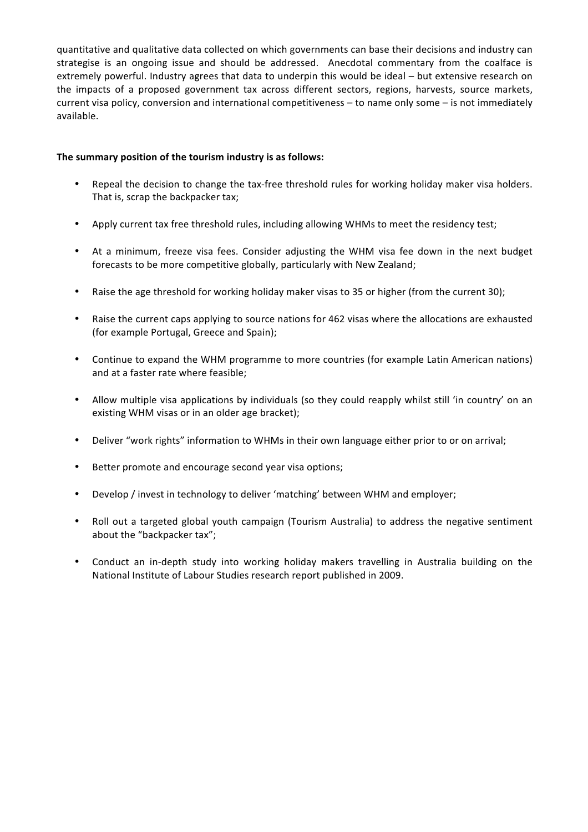quantitative and qualitative data collected on which governments can base their decisions and industry can strategise is an ongoing issue and should be addressed. Anecdotal commentary from the coalface is extremely powerful. Industry agrees that data to underpin this would be ideal – but extensive research on the impacts of a proposed government tax across different sectors, regions, harvests, source markets, current visa policy, conversion and international competitiveness – to name only some – is not immediately available.

#### The summary position of the tourism industry is as follows:

- Repeal the decision to change the tax-free threshold rules for working holiday maker visa holders. That is, scrap the backpacker tax;
- Apply current tax free threshold rules, including allowing WHMs to meet the residency test;
- At a minimum, freeze visa fees. Consider adjusting the WHM visa fee down in the next budget forecasts to be more competitive globally, particularly with New Zealand;
- Raise the age threshold for working holiday maker visas to 35 or higher (from the current 30);
- Raise the current caps applying to source nations for 462 visas where the allocations are exhausted (for example Portugal, Greece and Spain);
- Continue to expand the WHM programme to more countries (for example Latin American nations) and at a faster rate where feasible;
- Allow multiple visa applications by individuals (so they could reapply whilst still 'in country' on an existing WHM visas or in an older age bracket);
- Deliver "work rights" information to WHMs in their own language either prior to or on arrival;
- Better promote and encourage second year visa options;
- Develop / invest in technology to deliver 'matching' between WHM and employer;
- Roll out a targeted global youth campaign (Tourism Australia) to address the negative sentiment about the "backpacker tax";
- Conduct an in-depth study into working holiday makers travelling in Australia building on the National Institute of Labour Studies research report published in 2009.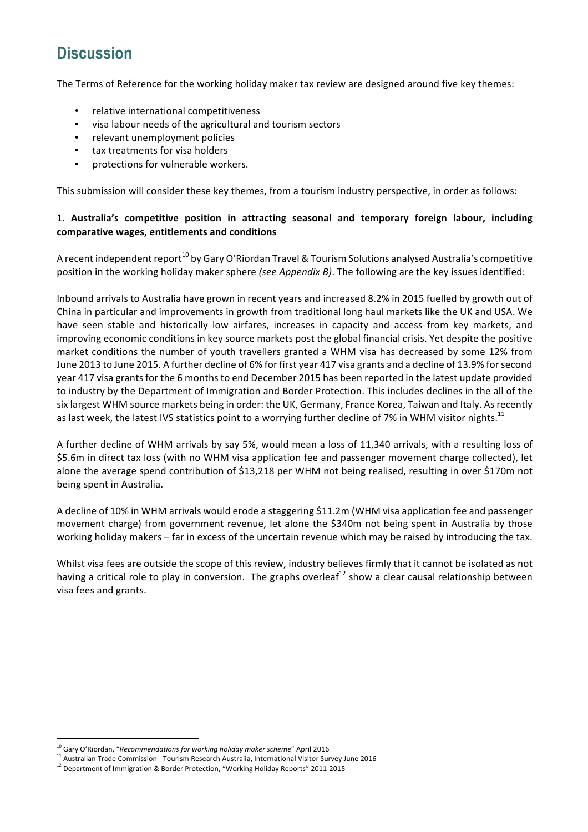# **Discussion**

The Terms of Reference for the working holiday maker tax review are designed around five key themes:

- relative international competitiveness
- visa labour needs of the agricultural and tourism sectors
- relevant unemployment policies
- tax treatments for visa holders
- protections for vulnerable workers.

This submission will consider these key themes, from a tourism industry perspective, in order as follows:

### 1. Australia's competitive position in attracting seasonal and temporary foreign labour, including **comparative wages, entitlements and conditions**

A recent independent report<sup>10</sup> by Gary O'Riordan Travel & Tourism Solutions analysed Australia's competitive position in the working holiday maker sphere (see Appendix B). The following are the key issues identified:

Inbound arrivals to Australia have grown in recent years and increased 8.2% in 2015 fuelled by growth out of China in particular and improvements in growth from traditional long haul markets like the UK and USA. We have seen stable and historically low airfares, increases in capacity and access from key markets, and improving economic conditions in key source markets post the global financial crisis. Yet despite the positive market conditions the number of youth travellers granted a WHM visa has decreased by some 12% from June 2013 to June 2015. A further decline of 6% for first year 417 visa grants and a decline of 13.9% for second year 417 visa grants for the 6 months to end December 2015 has been reported in the latest update provided to industry by the Department of Immigration and Border Protection. This includes declines in the all of the six largest WHM source markets being in order: the UK, Germany, France Korea, Taiwan and Italy. As recently as last week, the latest IVS statistics point to a worrying further decline of 7% in WHM visitor nights.<sup>11</sup>

A further decline of WHM arrivals by say 5%, would mean a loss of 11,340 arrivals, with a resulting loss of \$5.6m in direct tax loss (with no WHM visa application fee and passenger movement charge collected), let alone the average spend contribution of \$13,218 per WHM not being realised, resulting in over \$170m not being spent in Australia.

A decline of 10% in WHM arrivals would erode a staggering \$11.2m (WHM visa application fee and passenger movement charge) from government revenue, let alone the \$340m not being spent in Australia by those working holiday makers – far in excess of the uncertain revenue which may be raised by introducing the tax.

Whilst visa fees are outside the scope of this review, industry believes firmly that it cannot be isolated as not having a critical role to play in conversion. The graphs overleaf<sup>12</sup> show a clear causal relationship between visa fees and grants.

 

<sup>&</sup>lt;sup>10</sup> Gary O'Riordan, "Recommendations for working holiday maker scheme" April 2016

<sup>11</sup> Australian Trade Commission - Tourism Research Australia, International Visitor Survey June 2016

<sup>&</sup>lt;sup>12</sup> Department of Immigration & Border Protection, "Working Holiday Reports" 2011-2015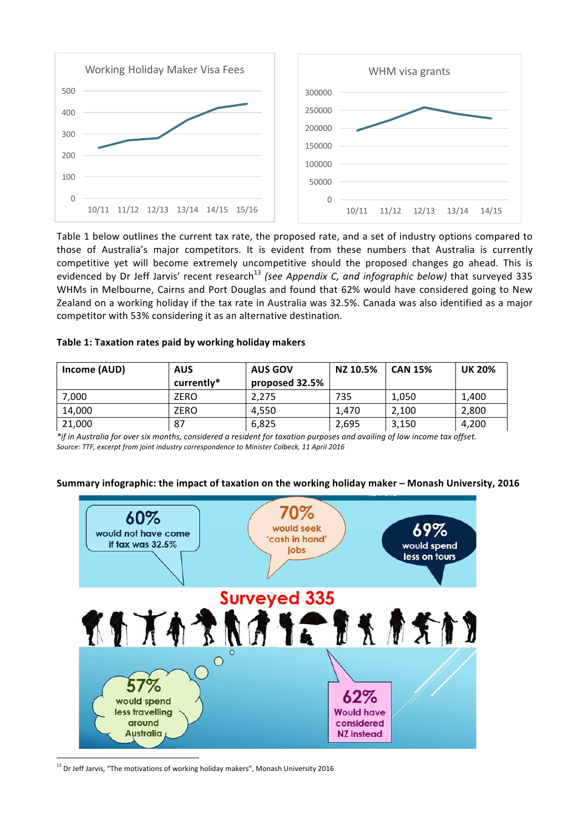

Table 1 below outlines the current tax rate, the proposed rate, and a set of industry options compared to those of Australia's major competitors. It is evident from these numbers that Australia is currently competitive yet will become extremely uncompetitive should the proposed changes go ahead. This is evidenced by Dr Jeff Jarvis' recent research<sup>13</sup> (see Appendix C, and infographic below) that surveyed 335 WHMs in Melbourne, Cairns and Port Douglas and found that 62% would have considered going to New Zealand on a working holiday if the tax rate in Australia was 32.5%. Canada was also identified as a major competitor with 53% considering it as an alternative destination.

#### Table 1: Taxation rates paid by working holiday makers

| Income (AUD) | <b>AUS</b> | <b>AUS GOV</b> | NZ 10.5% | <b>CAN 15%</b> | <b>UK 20%</b> |
|--------------|------------|----------------|----------|----------------|---------------|
|              | currently* | proposed 32.5% |          |                |               |
| 7,000        | ZERO       | 2.275          | 735      | 1.050          | 1,400         |
| 14,000       | ZERO       | 4.550          | 1.470    | 2.100          | 2.800         |
| 21,000       | 87         | 6.825          | 2.695    | 3.150          | 4.200         |

*\*if* in Australia for over six months, considered a resident for taxation purposes and availing of low income tax offset. Source: TTF, excerpt from joint industry correspondence to Minister Colbeck, 11 April 2016



#### Summary infographic: the impact of taxation on the working holiday maker – Monash University, 2016

 $13$  Dr Jeff Jarvis, "The motivations of working holiday makers", Monash University 2016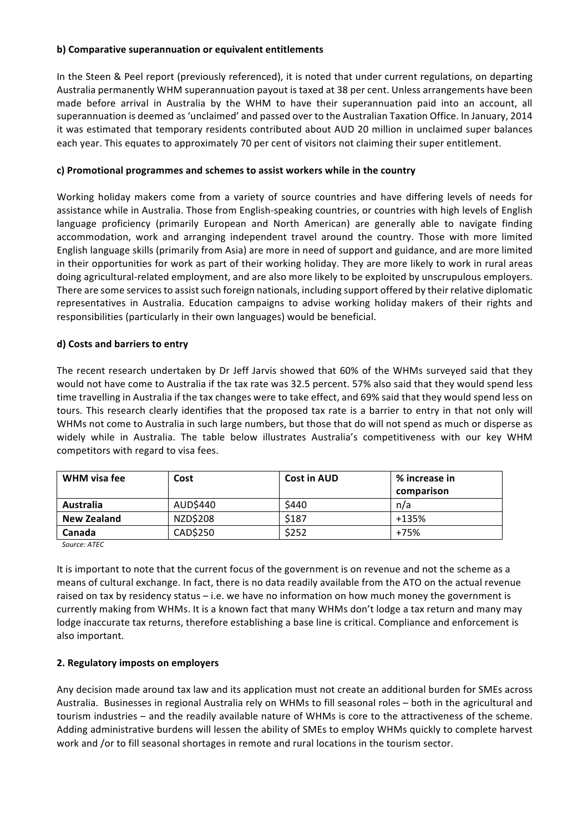#### **b)** Comparative superannuation or equivalent entitlements

In the Steen & Peel report (previously referenced), it is noted that under current regulations, on departing Australia permanently WHM superannuation payout is taxed at 38 per cent. Unless arrangements have been made before arrival in Australia by the WHM to have their superannuation paid into an account, all superannuation is deemed as 'unclaimed' and passed over to the Australian Taxation Office. In January, 2014 it was estimated that temporary residents contributed about AUD 20 million in unclaimed super balances each year. This equates to approximately 70 per cent of visitors not claiming their super entitlement.

#### c) Promotional programmes and schemes to assist workers while in the country

Working holiday makers come from a variety of source countries and have differing levels of needs for assistance while in Australia. Those from English-speaking countries, or countries with high levels of English language proficiency (primarily European and North American) are generally able to navigate finding accommodation, work and arranging independent travel around the country. Those with more limited English language skills (primarily from Asia) are more in need of support and guidance, and are more limited in their opportunities for work as part of their working holiday. They are more likely to work in rural areas doing agricultural-related employment, and are also more likely to be exploited by unscrupulous employers. There are some services to assist such foreign nationals, including support offered by their relative diplomatic representatives in Australia. Education campaigns to advise working holiday makers of their rights and responsibilities (particularly in their own languages) would be beneficial.

#### **d) Costs and barriers to entry**

The recent research undertaken by Dr Jeff Jarvis showed that 60% of the WHMs surveyed said that they would not have come to Australia if the tax rate was 32.5 percent. 57% also said that they would spend less time travelling in Australia if the tax changes were to take effect, and 69% said that they would spend less on tours. This research clearly identifies that the proposed tax rate is a barrier to entry in that not only will WHMs not come to Australia in such large numbers, but those that do will not spend as much or disperse as widely while in Australia. The table below illustrates Australia's competitiveness with our key WHM competitors with regard to visa fees.

| WHM visa fee       | Cost     | <b>Cost in AUD</b> | % increase in<br>comparison |
|--------------------|----------|--------------------|-----------------------------|
| Australia          | AUD\$440 | \$440              | n/a                         |
| <b>New Zealand</b> | NZD\$208 | \$187              | $+135%$                     |
| Canada             | CAD\$250 | \$252              | +75%                        |

*Source: ATEC*

It is important to note that the current focus of the government is on revenue and not the scheme as a means of cultural exchange. In fact, there is no data readily available from the ATO on the actual revenue raised on tax by residency status – i.e. we have no information on how much money the government is currently making from WHMs. It is a known fact that many WHMs don't lodge a tax return and many may lodge inaccurate tax returns, therefore establishing a base line is critical. Compliance and enforcement is also important.

#### **2. Regulatory imposts on employers**

Any decision made around tax law and its application must not create an additional burden for SMEs across Australia. Businesses in regional Australia rely on WHMs to fill seasonal roles – both in the agricultural and tourism industries – and the readily available nature of WHMs is core to the attractiveness of the scheme. Adding administrative burdens will lessen the ability of SMEs to employ WHMs quickly to complete harvest work and /or to fill seasonal shortages in remote and rural locations in the tourism sector.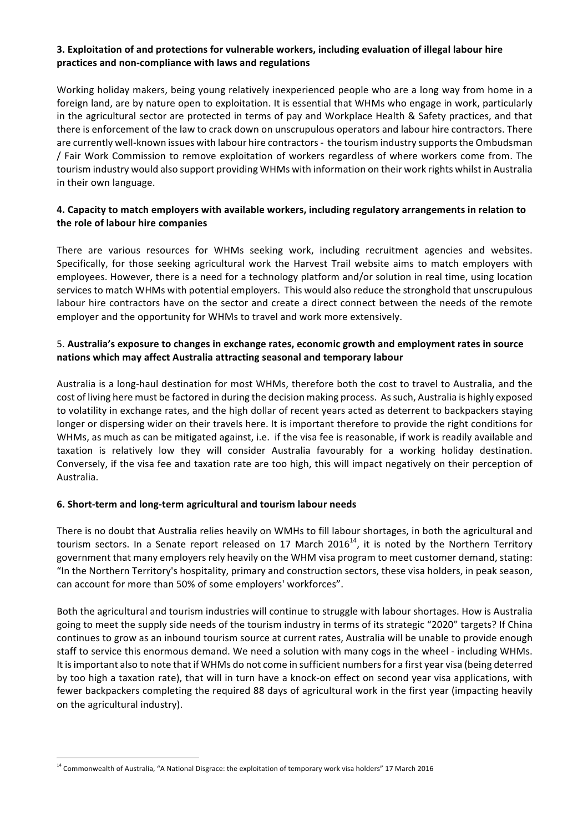### **3. Exploitation of and protections for vulnerable workers, including evaluation of illegal labour hire** practices and non-compliance with laws and regulations

Working holiday makers, being young relatively inexperienced people who are a long way from home in a foreign land, are by nature open to exploitation. It is essential that WHMs who engage in work, particularly in the agricultural sector are protected in terms of pay and Workplace Health & Safety practices, and that there is enforcement of the law to crack down on unscrupulous operators and labour hire contractors. There are currently well-known issues with labour hire contractors - the tourism industry supports the Ombudsman / Fair Work Commission to remove exploitation of workers regardless of where workers come from. The tourism industry would also support providing WHMs with information on their work rights whilst in Australia in their own language.

#### 4. Capacity to match employers with available workers, including regulatory arrangements in relation to the role of labour hire companies

There are various resources for WHMs seeking work, including recruitment agencies and websites. Specifically, for those seeking agricultural work the Harvest Trail website aims to match employers with employees. However, there is a need for a technology platform and/or solution in real time, using location services to match WHMs with potential employers. This would also reduce the stronghold that unscrupulous labour hire contractors have on the sector and create a direct connect between the needs of the remote employer and the opportunity for WHMs to travel and work more extensively.

### 5. Australia's exposure to changes in exchange rates, economic growth and employment rates in source nations which may affect Australia attracting seasonal and temporary labour

Australia is a long-haul destination for most WHMs, therefore both the cost to travel to Australia, and the cost of living here must be factored in during the decision making process. As such, Australia is highly exposed to volatility in exchange rates, and the high dollar of recent years acted as deterrent to backpackers staying longer or dispersing wider on their travels here. It is important therefore to provide the right conditions for WHMs, as much as can be mitigated against, i.e. if the visa fee is reasonable, if work is readily available and taxation is relatively low they will consider Australia favourably for a working holiday destination. Conversely, if the visa fee and taxation rate are too high, this will impact negatively on their perception of Australia. 

### **6. Short-term and long-term agricultural and tourism labour needs**

There is no doubt that Australia relies heavily on WMHs to fill labour shortages, in both the agricultural and tourism sectors. In a Senate report released on 17 March 2016<sup>14</sup>, it is noted by the Northern Territory government that many employers rely heavily on the WHM visa program to meet customer demand, stating: "In the Northern Territory's hospitality, primary and construction sectors, these visa holders, in peak season, can account for more than 50% of some employers' workforces".

Both the agricultural and tourism industries will continue to struggle with labour shortages. How is Australia going to meet the supply side needs of the tourism industry in terms of its strategic "2020" targets? If China continues to grow as an inbound tourism source at current rates, Australia will be unable to provide enough staff to service this enormous demand. We need a solution with many cogs in the wheel - including WHMs. It is important also to note that if WHMs do not come in sufficient numbers for a first year visa (being deterred by too high a taxation rate), that will in turn have a knock-on effect on second year visa applications, with fewer backpackers completing the required 88 days of agricultural work in the first year (impacting heavily on the agricultural industry).

 

<sup>&</sup>lt;sup>14</sup> Commonwealth of Australia, "A National Disgrace: the exploitation of temporary work visa holders" 17 March 2016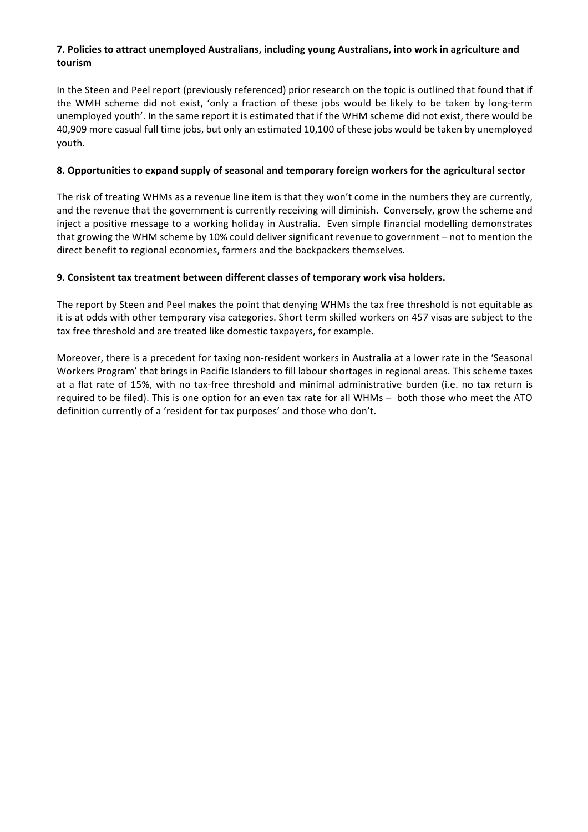### **7. Policies to attract unemployed Australians, including young Australians, into work in agriculture and tourism**

In the Steen and Peel report (previously referenced) prior research on the topic is outlined that found that if the WMH scheme did not exist, 'only a fraction of these jobs would be likely to be taken by long-term unemployed youth'. In the same report it is estimated that if the WHM scheme did not exist, there would be 40,909 more casual full time jobs, but only an estimated 10,100 of these jobs would be taken by unemployed youth.

### **8. Opportunities to expand supply of seasonal and temporary foreign workers for the agricultural sector**

The risk of treating WHMs as a revenue line item is that they won't come in the numbers they are currently, and the revenue that the government is currently receiving will diminish. Conversely, grow the scheme and inject a positive message to a working holiday in Australia. Even simple financial modelling demonstrates that growing the WHM scheme by 10% could deliver significant revenue to government – not to mention the direct benefit to regional economies, farmers and the backpackers themselves.

### **9. Consistent tax treatment between different classes of temporary work visa holders.**

The report by Steen and Peel makes the point that denying WHMs the tax free threshold is not equitable as it is at odds with other temporary visa categories. Short term skilled workers on 457 visas are subject to the tax free threshold and are treated like domestic taxpayers, for example.

Moreover, there is a precedent for taxing non-resident workers in Australia at a lower rate in the 'Seasonal Workers Program' that brings in Pacific Islanders to fill labour shortages in regional areas. This scheme taxes at a flat rate of 15%, with no tax-free threshold and minimal administrative burden (i.e. no tax return is required to be filed). This is one option for an even tax rate for all WHMs – both those who meet the ATO definition currently of a 'resident for tax purposes' and those who don't.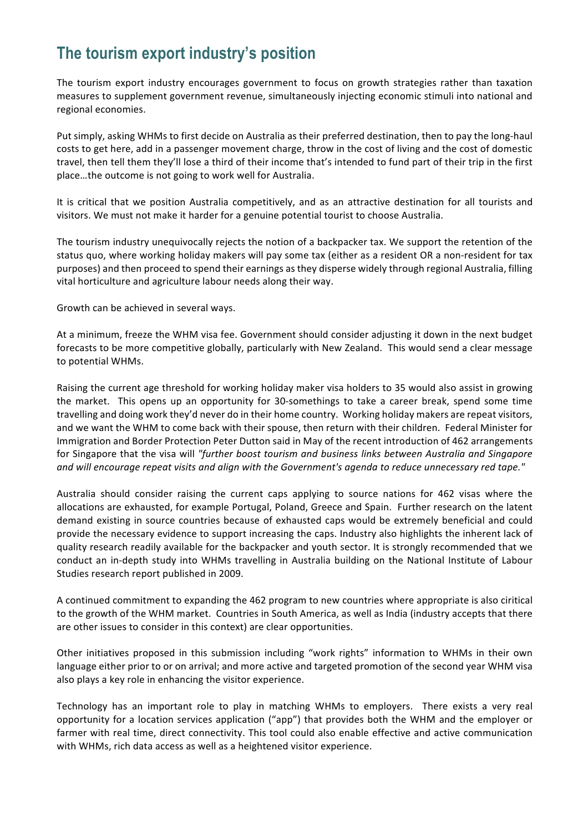# **The tourism export industry's position**

The tourism export industry encourages government to focus on growth strategies rather than taxation measures to supplement government revenue, simultaneously injecting economic stimuli into national and regional economies.

Put simply, asking WHMs to first decide on Australia as their preferred destination, then to pay the long-haul costs to get here, add in a passenger movement charge, throw in the cost of living and the cost of domestic travel, then tell them they'll lose a third of their income that's intended to fund part of their trip in the first place...the outcome is not going to work well for Australia.

It is critical that we position Australia competitively, and as an attractive destination for all tourists and visitors. We must not make it harder for a genuine potential tourist to choose Australia.

The tourism industry unequivocally rejects the notion of a backpacker tax. We support the retention of the status quo, where working holiday makers will pay some tax (either as a resident OR a non-resident for tax purposes) and then proceed to spend their earnings as they disperse widely through regional Australia, filling vital horticulture and agriculture labour needs along their way.

Growth can be achieved in several ways.

At a minimum, freeze the WHM visa fee. Government should consider adjusting it down in the next budget forecasts to be more competitive globally, particularly with New Zealand. This would send a clear message to potential WHMs.

Raising the current age threshold for working holiday maker visa holders to 35 would also assist in growing the market. This opens up an opportunity for 30-somethings to take a career break, spend some time travelling and doing work they'd never do in their home country. Working holiday makers are repeat visitors, and we want the WHM to come back with their spouse, then return with their children. Federal Minister for Immigration and Border Protection Peter Dutton said in May of the recent introduction of 462 arrangements for Singapore that the visa will "further boost tourism and business links between Australia and Singapore and will encourage repeat visits and align with the Government's agenda to reduce unnecessary red tape."

Australia should consider raising the current caps applying to source nations for 462 visas where the allocations are exhausted, for example Portugal, Poland, Greece and Spain. Further research on the latent demand existing in source countries because of exhausted caps would be extremely beneficial and could provide the necessary evidence to support increasing the caps. Industry also highlights the inherent lack of quality research readily available for the backpacker and youth sector. It is strongly recommended that we conduct an in-depth study into WHMs travelling in Australia building on the National Institute of Labour Studies research report published in 2009.

A continued commitment to expanding the 462 program to new countries where appropriate is also ciritical to the growth of the WHM market. Countries in South America, as well as India (industry accepts that there are other issues to consider in this context) are clear opportunities.

Other initiatives proposed in this submission including "work rights" information to WHMs in their own language either prior to or on arrival; and more active and targeted promotion of the second year WHM visa also plays a key role in enhancing the visitor experience.

Technology has an important role to play in matching WHMs to employers. There exists a very real opportunity for a location services application ("app") that provides both the WHM and the employer or farmer with real time, direct connectivity. This tool could also enable effective and active communication with WHMs, rich data access as well as a heightened visitor experience.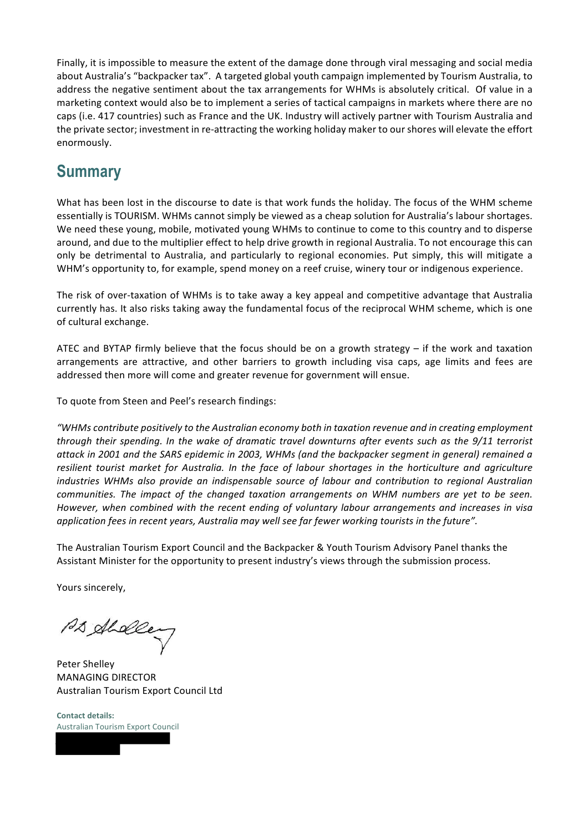Finally, it is impossible to measure the extent of the damage done through viral messaging and social media about Australia's "backpacker tax". A targeted global youth campaign implemented by Tourism Australia, to address the negative sentiment about the tax arrangements for WHMs is absolutely critical. Of value in a marketing context would also be to implement a series of tactical campaigns in markets where there are no caps (i.e. 417 countries) such as France and the UK. Industry will actively partner with Tourism Australia and the private sector; investment in re-attracting the working holiday maker to our shores will elevate the effort enormously.

# **Summary**

What has been lost in the discourse to date is that work funds the holiday. The focus of the WHM scheme essentially is TOURISM. WHMs cannot simply be viewed as a cheap solution for Australia's labour shortages. We need these young, mobile, motivated young WHMs to continue to come to this country and to disperse around, and due to the multiplier effect to help drive growth in regional Australia. To not encourage this can only be detrimental to Australia, and particularly to regional economies. Put simply, this will mitigate a WHM's opportunity to, for example, spend money on a reef cruise, winery tour or indigenous experience.

The risk of over-taxation of WHMs is to take away a key appeal and competitive advantage that Australia currently has. It also risks taking away the fundamental focus of the reciprocal WHM scheme, which is one of cultural exchange.

ATEC and BYTAP firmly believe that the focus should be on a growth strategy  $-$  if the work and taxation arrangements are attractive, and other barriers to growth including visa caps, age limits and fees are addressed then more will come and greater revenue for government will ensue.

To quote from Steen and Peel's research findings:

*"WHMs* contribute positively to the Australian economy both in taxation revenue and in creating employment through their spending. In the wake of dramatic travel downturns after events such as the 9/11 terrorist attack in 2001 and the SARS epidemic in 2003, WHMs (and the backpacker segment in general) remained a resilient tourist market for Australia. In the face of labour shortages in the horticulture and agriculture *industries* WHMs also provide an indispensable source of labour and contribution to regional Australian *communities. The impact of the changed taxation arrangements on WHM numbers are yet to be seen. However,* when combined with the recent ending of voluntary labour arrangements and increases in visa *application fees in recent years, Australia may well see far fewer working tourists in the future".* 

The Australian Tourism Export Council and the Backpacker & Youth Tourism Advisory Panel thanks the Assistant Minister for the opportunity to present industry's views through the submission process.

Yours sincerely,

PD Aldeen

Peter Shelley **MANAGING DIRECTOR** Australian Tourism Export Council Ltd

**Contact details:** Australian Tourism Export Council